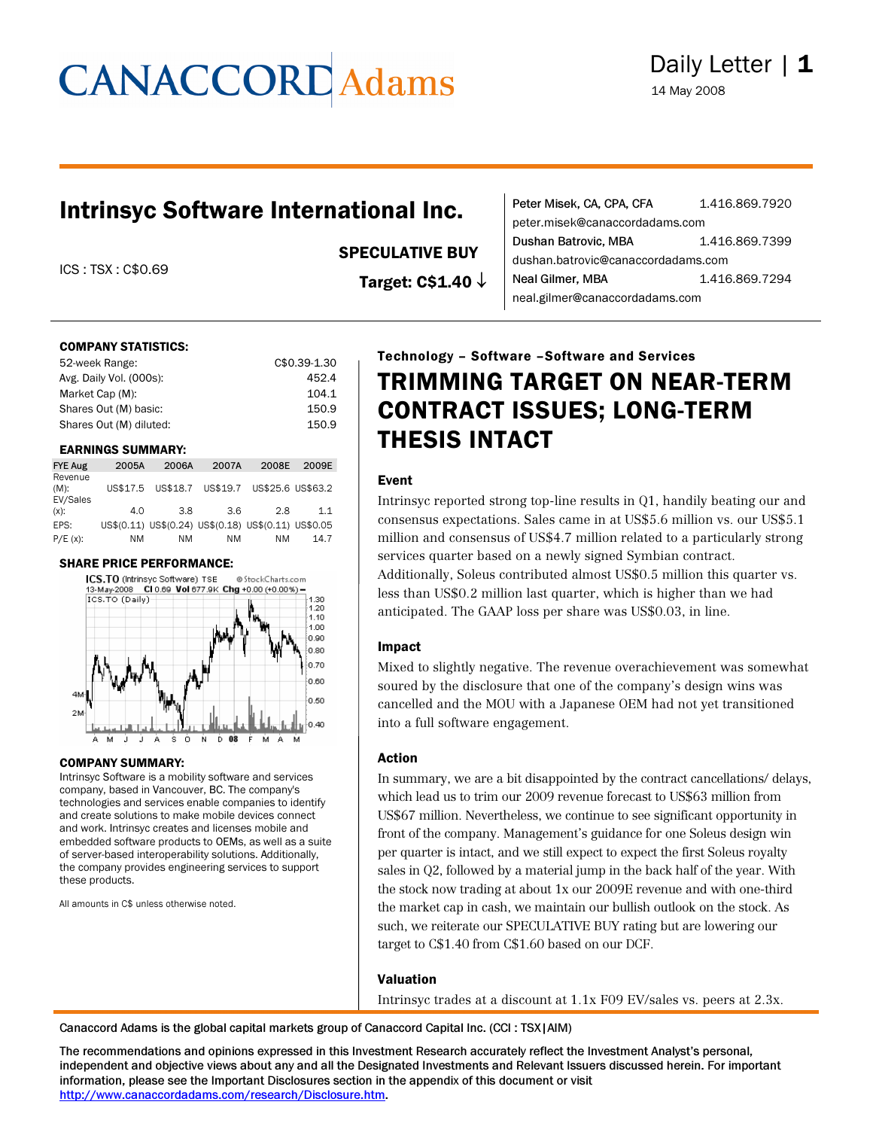# **CANACCORD** Adams

### Intrinsyc Software International Inc.

ICS : TSX : C\$0.69

SPECULATIVE BUY

Target: C\$1.40 ↓

| Peter Misek, CA, CPA, CFA          | 1.416.869.7920 |
|------------------------------------|----------------|
| peter.misek@canaccordadams.com     |                |
| Dushan Batrovic, MBA               | 1.416.869.7399 |
| dushan.batrovic@canaccordadams.com |                |
| Neal Gilmer, MBA                   | 1.416.869.7294 |
| neal.gilmer@canaccordadams.com     |                |

#### COMPANY STATISTICS:

| 52-week Range:          | C\$0.39-1.30 |
|-------------------------|--------------|
| Avg. Daily Vol. (000s): | 452.4        |
| Market Cap (M):         | 104.1        |
| Shares Out (M) basic:   | 150.9        |
| Shares Out (M) diluted: | 150.9        |

#### EARNINGS SUMMARY:

| <b>FYE Aug</b>                 | 2005A    | 2006A | 2007A                                                | 2008E | 2009E |
|--------------------------------|----------|-------|------------------------------------------------------|-------|-------|
| Revenue<br>$(M)$ :<br>EV/Sales | US\$17.5 |       | US\$18.7 US\$19.7 US\$25.6 US\$63.2                  |       |       |
| $(x)$ :                        | 4.0      | 3.8   | 3.6                                                  | 2.8   | 1.1   |
| EPS:                           |          |       | US\$(0.11) US\$(0.24) US\$(0.18) US\$(0.11) US\$0.05 |       |       |
| $P/E(x)$ :                     | ΝM       | ΝM    | NΜ                                                   | NM    | 14.7  |

#### SHARE PRICE PERFORMANCE:



#### COMPANY SUMMARY:

Intrinsyc Software is a mobility software and services company, based in Vancouver, BC. The company's technologies and services enable companies to identify and create solutions to make mobile devices connect and work. Intrinsyc creates and licenses mobile and embedded software products to OEMs, as well as a suite of server-based interoperability solutions. Additionally, the company provides engineering services to support these products.

All amounts in C\$ unless otherwise noted.

### Technology – Software –Software and Services TRIMMING TARGET ON NEAR-TERM CONTRACT ISSUES; LONG-TERM THESIS INTACT

### Event

Intrinsyc reported strong top-line results in Q1, handily beating our and consensus expectations. Sales came in at US\$5.6 million vs. our US\$5.1 million and consensus of US\$4.7 million related to a particularly strong services quarter based on a newly signed Symbian contract. Additionally, Soleus contributed almost US\$0.5 million this quarter vs. less than US\$0.2 million last quarter, which is higher than we had anticipated. The GAAP loss per share was US\$0.03, in line.

#### Impact

Mixed to slightly negative. The revenue overachievement was somewhat soured by the disclosure that one of the company's design wins was cancelled and the MOU with a Japanese OEM had not yet transitioned into a full software engagement.

#### Action

In summary, we are a bit disappointed by the contract cancellations/ delays, which lead us to trim our 2009 revenue forecast to US\$63 million from US\$67 million. Nevertheless, we continue to see significant opportunity in front of the company. Management's guidance for one Soleus design win per quarter is intact, and we still expect to expect the first Soleus royalty sales in Q2, followed by a material jump in the back half of the year. With the stock now trading at about 1x our 2009E revenue and with one-third the market cap in cash, we maintain our bullish outlook on the stock. As such, we reiterate our SPECULATIVE BUY rating but are lowering our target to C\$1.40 from C\$1.60 based on our DCF.

#### Valuation

Intrinsyc trades at a discount at 1.1x F09 EV/sales vs. peers at 2.3x.

Canaccord Adams is the global capital markets group of Canaccord Capital Inc. (CCI : TSX|AIM)

The recommendations and opinions expressed in this Investment Research accurately reflect the Investment Analyst's personal, independent and objective views about any and all the Designated Investments and Relevant Issuers discussed herein. For important information, please see the Important Disclosures section in the appendix of this document or visit [http://www.canaccordadams.com/research/Disclosure.htm.](http://www.canaccordadams.com/research/Disclosure.htm)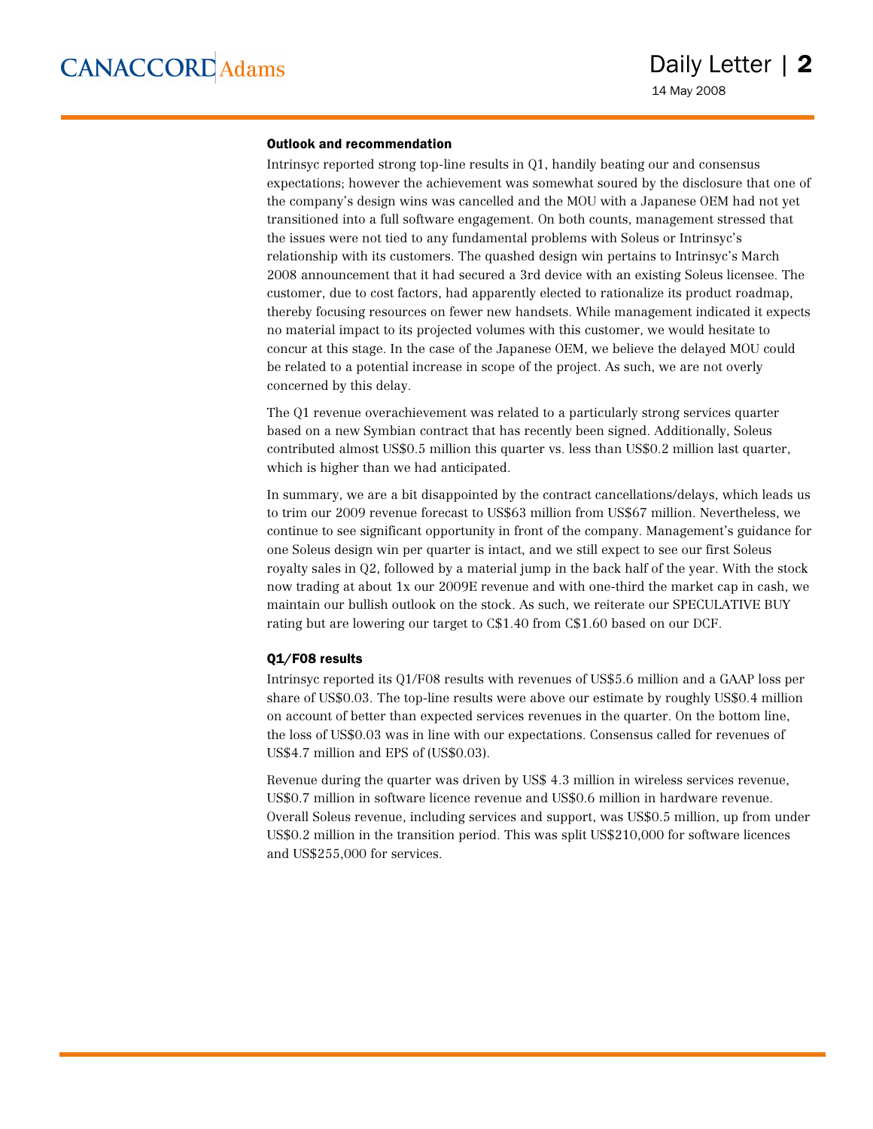#### Outlook and recommendation

Intrinsyc reported strong top-line results in Q1, handily beating our and consensus expectations; however the achievement was somewhat soured by the disclosure that one of the company's design wins was cancelled and the MOU with a Japanese OEM had not yet transitioned into a full software engagement. On both counts, management stressed that the issues were not tied to any fundamental problems with Soleus or Intrinsyc's relationship with its customers. The quashed design win pertains to Intrinsyc's March 2008 announcement that it had secured a 3rd device with an existing Soleus licensee. The customer, due to cost factors, had apparently elected to rationalize its product roadmap, thereby focusing resources on fewer new handsets. While management indicated it expects no material impact to its projected volumes with this customer, we would hesitate to concur at this stage. In the case of the Japanese OEM, we believe the delayed MOU could be related to a potential increase in scope of the project. As such, we are not overly concerned by this delay.

The Q1 revenue overachievement was related to a particularly strong services quarter based on a new Symbian contract that has recently been signed. Additionally, Soleus contributed almost US\$0.5 million this quarter vs. less than US\$0.2 million last quarter, which is higher than we had anticipated.

In summary, we are a bit disappointed by the contract cancellations/delays, which leads us to trim our 2009 revenue forecast to US\$63 million from US\$67 million. Nevertheless, we continue to see significant opportunity in front of the company. Management's guidance for one Soleus design win per quarter is intact, and we still expect to see our first Soleus royalty sales in Q2, followed by a material jump in the back half of the year. With the stock now trading at about 1x our 2009E revenue and with one-third the market cap in cash, we maintain our bullish outlook on the stock. As such, we reiterate our SPECULATIVE BUY rating but are lowering our target to C\$1.40 from C\$1.60 based on our DCF.

#### Q1/F08 results

Intrinsyc reported its Q1/F08 results with revenues of US\$5.6 million and a GAAP loss per share of US\$0.03. The top-line results were above our estimate by roughly US\$0.4 million on account of better than expected services revenues in the quarter. On the bottom line, the loss of US\$0.03 was in line with our expectations. Consensus called for revenues of US\$4.7 million and EPS of (US\$0.03).

Revenue during the quarter was driven by US\$ 4.3 million in wireless services revenue, US\$0.7 million in software licence revenue and US\$0.6 million in hardware revenue. Overall Soleus revenue, including services and support, was US\$0.5 million, up from under US\$0.2 million in the transition period. This was split US\$210,000 for software licences and US\$255,000 for services.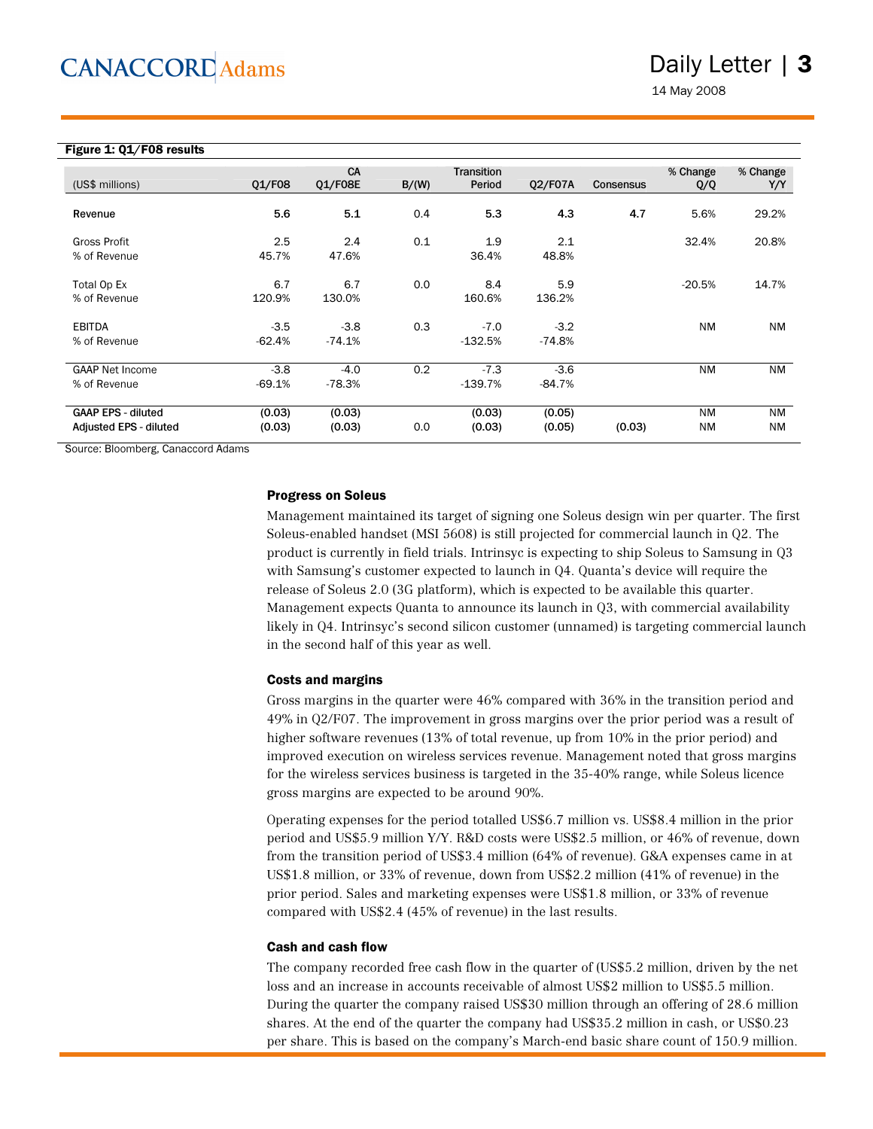### Daily Letter | 3

14 May 2008

| Figure 1: Q1/F08 results |  |
|--------------------------|--|
|                          |  |
|                          |  |

| (US\$ millions)                                     | Q1/F08             | CA<br>01/F08E      | B/(W) | <b>Transition</b><br>Period | 02/F07A            | Consensus | % Change<br>Q/Q        | % Change<br>Y/Y        |
|-----------------------------------------------------|--------------------|--------------------|-------|-----------------------------|--------------------|-----------|------------------------|------------------------|
| Revenue                                             | 5.6                | 5.1                | 0.4   | 5.3                         | 4.3                | 4.7       | 5.6%                   | 29.2%                  |
| Gross Profit<br>% of Revenue                        | 2.5<br>45.7%       | 2.4<br>47.6%       | 0.1   | 1.9<br>36.4%                | 2.1<br>48.8%       |           | 32.4%                  | 20.8%                  |
| Total Op Ex<br>% of Revenue                         | 6.7<br>120.9%      | 6.7<br>130.0%      | 0.0   | 8.4<br>160.6%               | 5.9<br>136.2%      |           | $-20.5%$               | 14.7%                  |
| <b>EBITDA</b><br>% of Revenue                       | $-3.5$<br>$-62.4%$ | $-3.8$<br>$-74.1%$ | 0.3   | $-7.0$<br>$-132.5%$         | $-3.2$<br>$-74.8%$ |           | <b>NM</b>              | <b>NM</b>              |
| <b>GAAP Net Income</b><br>% of Revenue              | $-3.8$<br>$-69.1%$ | $-4.0$<br>$-78.3%$ | 0.2   | $-7.3$<br>$-139.7%$         | $-3.6$<br>$-84.7%$ |           | <b>NM</b>              | <b>NM</b>              |
| <b>GAAP EPS - diluted</b><br>Adjusted EPS - diluted | (0.03)<br>(0.03)   | (0.03)<br>(0.03)   | 0.0   | (0.03)<br>(0.03)            | (0.05)<br>(0.05)   | (0.03)    | <b>NM</b><br><b>NM</b> | <b>NM</b><br><b>NM</b> |

Source: Bloomberg, Canaccord Adams

#### Progress on Soleus

Management maintained its target of signing one Soleus design win per quarter. The first Soleus-enabled handset (MSI 5608) is still projected for commercial launch in Q2. The product is currently in field trials. Intrinsyc is expecting to ship Soleus to Samsung in Q3 with Samsung's customer expected to launch in Q4. Quanta's device will require the release of Soleus 2.0 (3G platform), which is expected to be available this quarter. Management expects Quanta to announce its launch in Q3, with commercial availability likely in Q4. Intrinsyc's second silicon customer (unnamed) is targeting commercial launch in the second half of this year as well.

#### Costs and margins

Gross margins in the quarter were 46% compared with 36% in the transition period and 49% in Q2/F07. The improvement in gross margins over the prior period was a result of higher software revenues (13% of total revenue, up from 10% in the prior period) and improved execution on wireless services revenue. Management noted that gross margins for the wireless services business is targeted in the 35-40% range, while Soleus licence gross margins are expected to be around 90%.

Operating expenses for the period totalled US\$6.7 million vs. US\$8.4 million in the prior period and US\$5.9 million Y/Y. R&D costs were US\$2.5 million, or 46% of revenue, down from the transition period of US\$3.4 million (64% of revenue). G&A expenses came in at US\$1.8 million, or 33% of revenue, down from US\$2.2 million (41% of revenue) in the prior period. Sales and marketing expenses were US\$1.8 million, or 33% of revenue compared with US\$2.4 (45% of revenue) in the last results.

#### Cash and cash flow

The company recorded free cash flow in the quarter of (US\$5.2 million, driven by the net loss and an increase in accounts receivable of almost US\$2 million to US\$5.5 million. During the quarter the company raised US\$30 million through an offering of 28.6 million shares. At the end of the quarter the company had US\$35.2 million in cash, or US\$0.23 per share. This is based on the company's March-end basic share count of 150.9 million.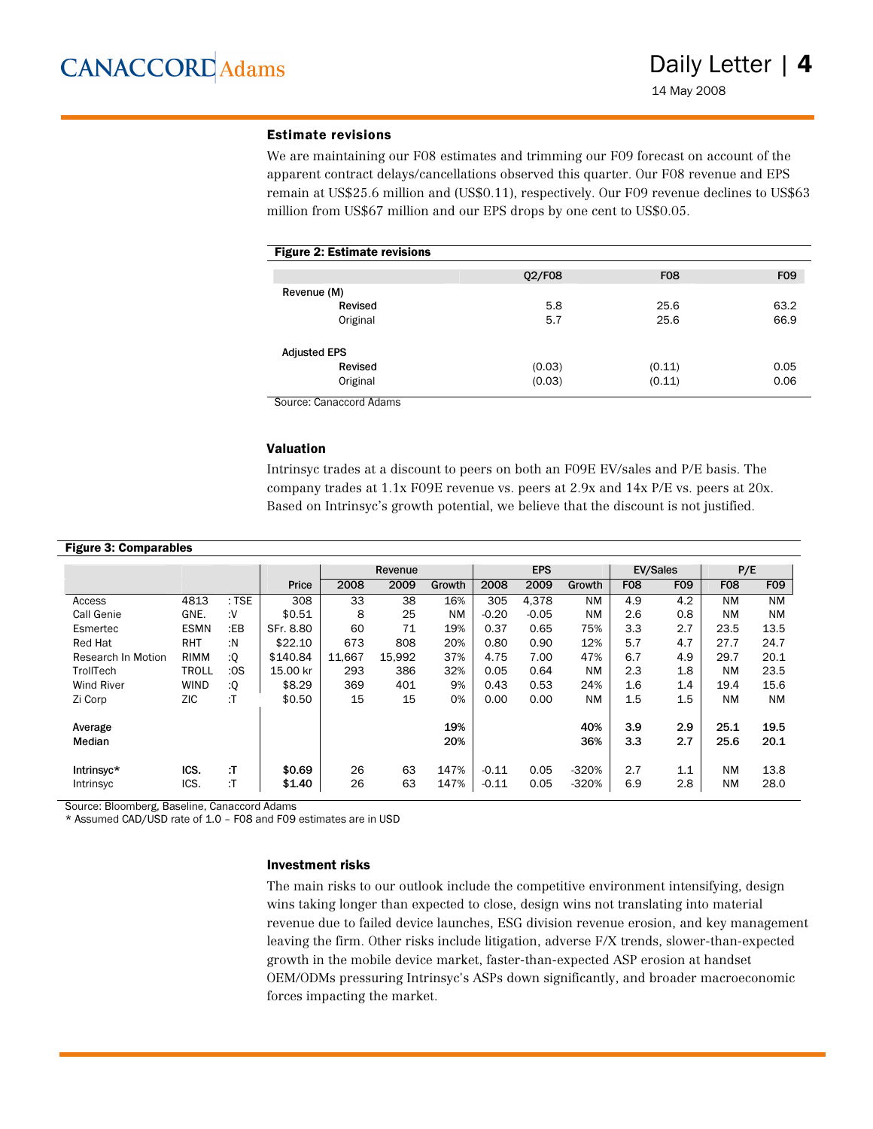#### Estimate revisions

We are maintaining our F08 estimates and trimming our F09 forecast on account of the apparent contract delays/cancellations observed this quarter. Our F08 revenue and EPS remain at US\$25.6 million and (US\$0.11), respectively. Our F09 revenue declines to US\$63 million from US\$67 million and our EPS drops by one cent to US\$0.05.

| <b>Figure 2: Estimate revisions</b> |        |            |      |
|-------------------------------------|--------|------------|------|
|                                     | Q2/F08 | <b>F08</b> | F09  |
| Revenue (M)                         |        |            |      |
| Revised                             | 5.8    | 25.6       | 63.2 |
| Original                            | 5.7    | 25.6       | 66.9 |
| <b>Adjusted EPS</b>                 |        |            |      |
| Revised                             | (0.03) | (0.11)     | 0.05 |
| Original                            | (0.03) | (0.11)     | 0.06 |

Source: Canaccord Adams

#### Valuation

Intrinsyc trades at a discount to peers on both an F09E EV/sales and P/E basis. The company trades at 1.1x F09E revenue vs. peers at 2.9x and 14x P/E vs. peers at 20x. Based on Intrinsyc's growth potential, we believe that the discount is not justified.

| <b>Figure 3: Comparables</b> |              |         |           |        |         |           |         |            |           |            |            |            |            |
|------------------------------|--------------|---------|-----------|--------|---------|-----------|---------|------------|-----------|------------|------------|------------|------------|
|                              |              |         |           |        | Revenue |           |         | <b>EPS</b> |           |            | EV/Sales   |            | P/E        |
|                              |              |         | Price     | 2008   | 2009    | Growth    | 2008    | 2009       | Growth    | <b>F08</b> | <b>F09</b> | <b>F08</b> | <b>F09</b> |
| Access                       | 4813         | $:$ TSE | 308       | 33     | 38      | 16%       | 305     | 4.378      | <b>NM</b> | 4.9        | 4.2        | <b>NM</b>  | <b>NM</b>  |
| Call Genie                   | GNE.         | ۰V:     | \$0.51    | 8      | 25      | <b>NM</b> | $-0.20$ | $-0.05$    | NM        | 2.6        | 0.8        | ΝM         | <b>NM</b>  |
| Esmertec                     | <b>ESMN</b>  | $E$ B   | SFr. 8.80 | 60     | 71      | 19%       | 0.37    | 0.65       | 75%       | 3.3        | 2.7        | 23.5       | 13.5       |
| <b>Red Hat</b>               | <b>RHT</b>   | :N      | \$22.10   | 673    | 808     | 20%       | 0.80    | 0.90       | 12%       | 5.7        | 4.7        | 27.7       | 24.7       |
| Research In Motion           | <b>RIMM</b>  | :Q      | \$140.84  | 11.667 | 15,992  | 37%       | 4.75    | 7.00       | 47%       | 6.7        | 4.9        | 29.7       | 20.1       |
| TrollTech                    | <b>TROLL</b> | :OS     | 15.00 kr  | 293    | 386     | 32%       | 0.05    | 0.64       | <b>NM</b> | 2.3        | 1.8        | <b>NM</b>  | 23.5       |
| <b>Wind River</b>            | <b>WIND</b>  | :Q      | \$8.29    | 369    | 401     | 9%        | 0.43    | 0.53       | 24%       | 1.6        | 1.4        | 19.4       | 15.6       |
| Zi Corp                      | ZIC          | :T      | \$0.50    | 15     | 15      | 0%        | 0.00    | 0.00       | <b>NM</b> | 1.5        | 1.5        | <b>NM</b>  | <b>NM</b>  |
|                              |              |         |           |        |         |           |         |            |           |            |            |            |            |
| Average                      |              |         |           |        |         | 19%       |         |            | 40%       | 3.9        | 2.9        | 25.1       | 19.5       |
| Median                       |              |         |           |        |         | 20%       |         |            | 36%       | 3.3        | 2.7        | 25.6       | 20.1       |
|                              |              |         |           |        |         |           |         |            |           |            |            |            |            |
| Intrinsyc*                   | ICS.         | :T      | \$0.69    | 26     | 63      | 147%      | $-0.11$ | 0.05       | $-320%$   | 2.7        | 1.1        | ΝM         | 13.8       |
| Intrinsyc                    | ICS.         | :T      | \$1.40    | 26     | 63      | 147%      | $-0.11$ | 0.05       | $-320%$   | 6.9        | 2.8        | <b>NM</b>  | 28.0       |

Source: Bloomberg, Baseline, Canaccord Adams

\* Assumed CAD/USD rate of 1.0 – F08 and F09 estimates are in USD

#### Investment risks

The main risks to our outlook include the competitive environment intensifying, design wins taking longer than expected to close, design wins not translating into material revenue due to failed device launches, ESG division revenue erosion, and key management leaving the firm. Other risks include litigation, adverse F/X trends, slower-than-expected growth in the mobile device market, faster-than-expected ASP erosion at handset OEM/ODMs pressuring Intrinsyc's ASPs down significantly, and broader macroeconomic forces impacting the market.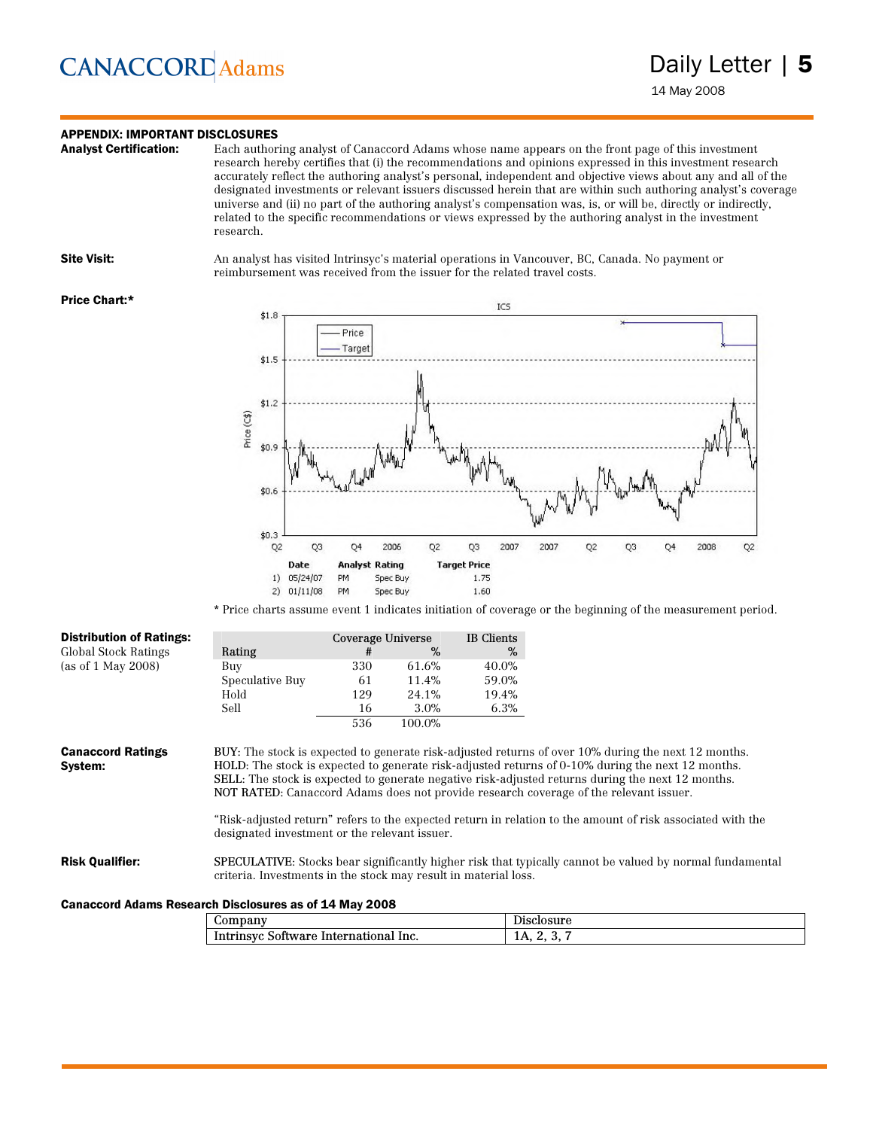## **CANACCORD** Adams

### **APPENDIX: IMPORTANT DISCLOSURES**<br>**Analyst Certification:** Each author

Each authoring analyst of Canaccord Adams whose name appears on the front page of this investment research hereby certifies that (i) the recommendations and opinions expressed in this investment research accurately reflect the authoring analyst's personal, independent and objective views about any and all of the designated investments or relevant issuers discussed herein that are within such authoring analyst's coverage universe and (ii) no part of the authoring analyst's compensation was, is, or will be, directly or indirectly, related to the specific recommendations or views expressed by the authoring analyst in the investment research.

Site Visit: An analyst has visited Intrinsyc's material operations in Vancouver, BC, Canada. No payment or reimbursement was received from the issuer for the related travel costs.

#### Price Chart:\*



\* Price charts assume event 1 indicates initiation of coverage or the beginning of the measurement period.

| <b>Distribution of Ratings:</b>                        |                                                                 | Coverage Universe |        | <b>IB</b> Clients |                                                                                                                                                                                                                                                                                                                                                                                                                                                                                                                              |
|--------------------------------------------------------|-----------------------------------------------------------------|-------------------|--------|-------------------|------------------------------------------------------------------------------------------------------------------------------------------------------------------------------------------------------------------------------------------------------------------------------------------------------------------------------------------------------------------------------------------------------------------------------------------------------------------------------------------------------------------------------|
| Global Stock Ratings                                   | Rating                                                          | #                 | %      | $\%$              |                                                                                                                                                                                                                                                                                                                                                                                                                                                                                                                              |
| (as of $1$ May 2008)                                   | Buy                                                             | 330               | 61.6%  | 40.0%             |                                                                                                                                                                                                                                                                                                                                                                                                                                                                                                                              |
|                                                        | Speculative Buy                                                 | 61                | 11.4%  | 59.0%             |                                                                                                                                                                                                                                                                                                                                                                                                                                                                                                                              |
|                                                        | Hold                                                            | 129               | 24.1%  | 19.4%             |                                                                                                                                                                                                                                                                                                                                                                                                                                                                                                                              |
|                                                        | Sell                                                            | 16                | 3.0%   | 6.3%              |                                                                                                                                                                                                                                                                                                                                                                                                                                                                                                                              |
|                                                        |                                                                 | 536               | 100.0% |                   |                                                                                                                                                                                                                                                                                                                                                                                                                                                                                                                              |
| <b>Canaccord Ratings</b><br>System:                    | designated investment or the relevant issuer.                   |                   |        |                   | BUY: The stock is expected to generate risk-adjusted returns of over 10% during the next 12 months.<br>HOLD: The stock is expected to generate risk-adjusted returns of 0-10% during the next 12 months.<br><b>SELL</b> : The stock is expected to generate negative risk-adjusted returns during the next 12 months.<br>NOT RATED: Canaccord Adams does not provide research coverage of the relevant issuer.<br>"Risk-adjusted return" refers to the expected return in relation to the amount of risk associated with the |
| <b>Risk Qualifier:</b>                                 | criteria. Investments in the stock may result in material loss. |                   |        |                   | <b>SPECULATIVE:</b> Stocks bear significantly higher risk that typically cannot be valued by normal fundamental                                                                                                                                                                                                                                                                                                                                                                                                              |
| Canaccord Adams Research Disclosures as of 14 May 2008 |                                                                 |                   |        |                   |                                                                                                                                                                                                                                                                                                                                                                                                                                                                                                                              |

| $\omega$ ompany                                | Disclosure |
|------------------------------------------------|------------|
| Intrinsyc<br>International<br>Inc.<br>Software | IA.        |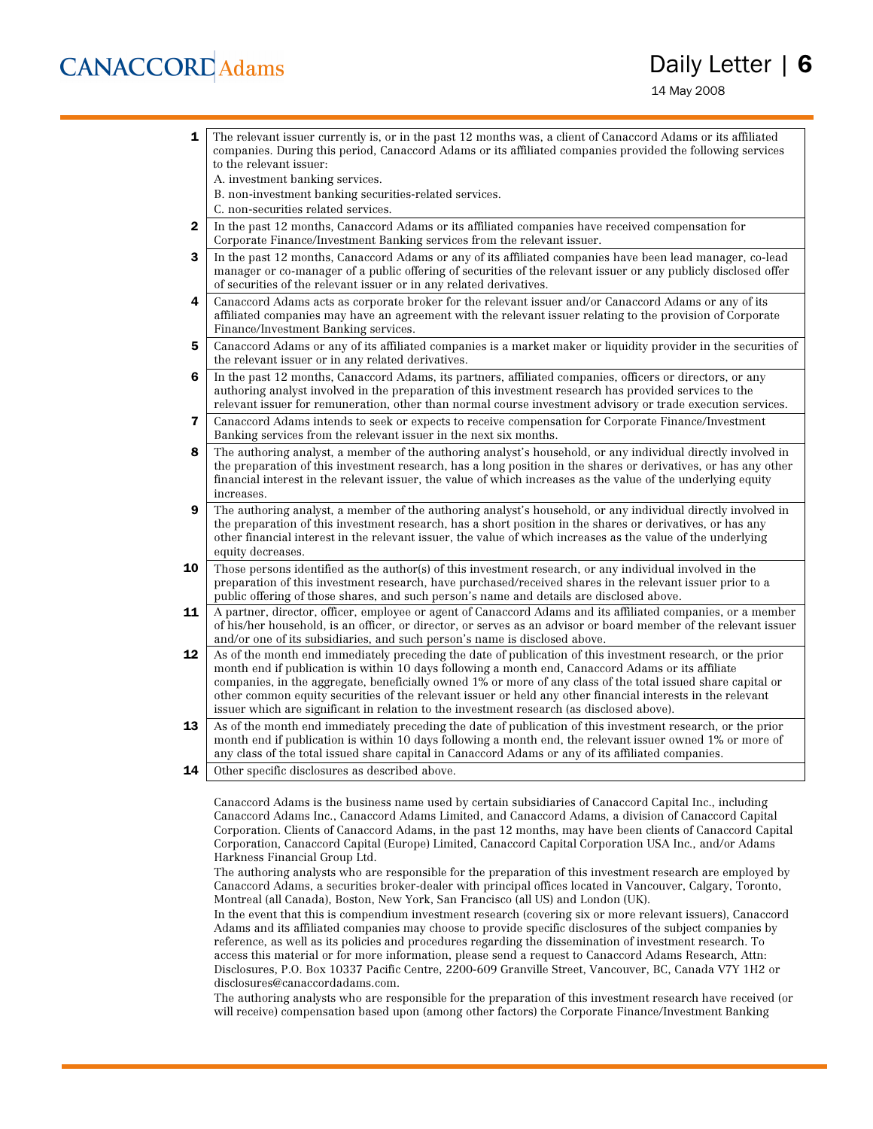### **CANACCORD** Adams

### Daily Letter | 6

14 May 2008

- **1** The relevant issuer currently is, or in the past 12 months was, a client of Canaccord Adams or its affiliated companies. During this period, Canaccord Adams or its affiliated companies provided the following services to the relevant issuer:
	- A. investment banking services.
	- B. non-investment banking securities-related services.
	- C. non-securities related services.
- 2 In the past 12 months, Canaccord Adams or its affiliated companies have received compensation for Corporate Finance/Investment Banking services from the relevant issuer.
- **3** In the past 12 months, Canaccord Adams or any of its affiliated companies have been lead manager, co-lead manager or co-manager of a public offering of securities of the relevant issuer or any publicly disclosed offer of securities of the relevant issuer or in any related derivatives.
- 4 Canaccord Adams acts as corporate broker for the relevant issuer and/or Canaccord Adams or any of its affiliated companies may have an agreement with the relevant issuer relating to the provision of Corporate Finance/Investment Banking services.
- 5 Canaccord Adams or any of its affiliated companies is a market maker or liquidity provider in the securities of the relevant issuer or in any related derivatives.
- 6 In the past 12 months, Canaccord Adams, its partners, affiliated companies, officers or directors, or any authoring analyst involved in the preparation of this investment research has provided services to the relevant issuer for remuneration, other than normal course investment advisory or trade execution services.
- 7 Canaccord Adams intends to seek or expects to receive compensation for Corporate Finance/Investment Banking services from the relevant issuer in the next six months.
- 8 The authoring analyst, a member of the authoring analyst's household, or any individual directly involved in the preparation of this investment research, has a long position in the shares or derivatives, or has any other financial interest in the relevant issuer, the value of which increases as the value of the underlying equity increases.
- **9** The authoring analyst, a member of the authoring analyst's household, or any individual directly involved in the preparation of this investment research, has a short position in the shares or derivatives, or has any other financial interest in the relevant issuer, the value of which increases as the value of the underlying equity decreases.
- **10** Those persons identified as the author(s) of this investment research, or any individual involved in the preparation of this investment research, have purchased/received shares in the relevant issuer prior to a public offering of those shares, and such person's name and details are disclosed above.
- 11 A partner, director, officer, employee or agent of Canaccord Adams and its affiliated companies, or a member of his/her household, is an officer, or director, or serves as an advisor or board member of the relevant issuer and/or one of its subsidiaries, and such person's name is disclosed above.
- 12 As of the month end immediately preceding the date of publication of this investment research, or the prior month end if publication is within 10 days following a month end, Canaccord Adams or its affiliate companies, in the aggregate, beneficially owned 1% or more of any class of the total issued share capital or other common equity securities of the relevant issuer or held any other financial interests in the relevant issuer which are significant in relation to the investment research (as disclosed above).
- 13 As of the month end immediately preceding the date of publication of this investment research, or the prior month end if publication is within 10 days following a month end, the relevant issuer owned 1% or more of any class of the total issued share capital in Canaccord Adams or any of its affiliated companies.
- **14** Other specific disclosures as described above.

Canaccord Adams is the business name used by certain subsidiaries of Canaccord Capital Inc., including Canaccord Adams Inc., Canaccord Adams Limited, and Canaccord Adams, a division of Canaccord Capital Corporation. Clients of Canaccord Adams, in the past 12 months, may have been clients of Canaccord Capital Corporation, Canaccord Capital (Europe) Limited, Canaccord Capital Corporation USA Inc., and/or Adams Harkness Financial Group Ltd.

The authoring analysts who are responsible for the preparation of this investment research are employed by Canaccord Adams, a securities broker-dealer with principal offices located in Vancouver, Calgary, Toronto, Montreal (all Canada), Boston, New York, San Francisco (all US) and London (UK).

In the event that this is compendium investment research (covering six or more relevant issuers), Canaccord Adams and its affiliated companies may choose to provide specific disclosures of the subject companies by reference, as well as its policies and procedures regarding the dissemination of investment research. To access this material or for more information, please send a request to Canaccord Adams Research, Attn: Disclosures, P.O. Box 10337 Pacific Centre, 2200-609 Granville Street, Vancouver, BC, Canada V7Y 1H2 or disclosures@canaccordadams.com.

The authoring analysts who are responsible for the preparation of this investment research have received (or will receive) compensation based upon (among other factors) the Corporate Finance/Investment Banking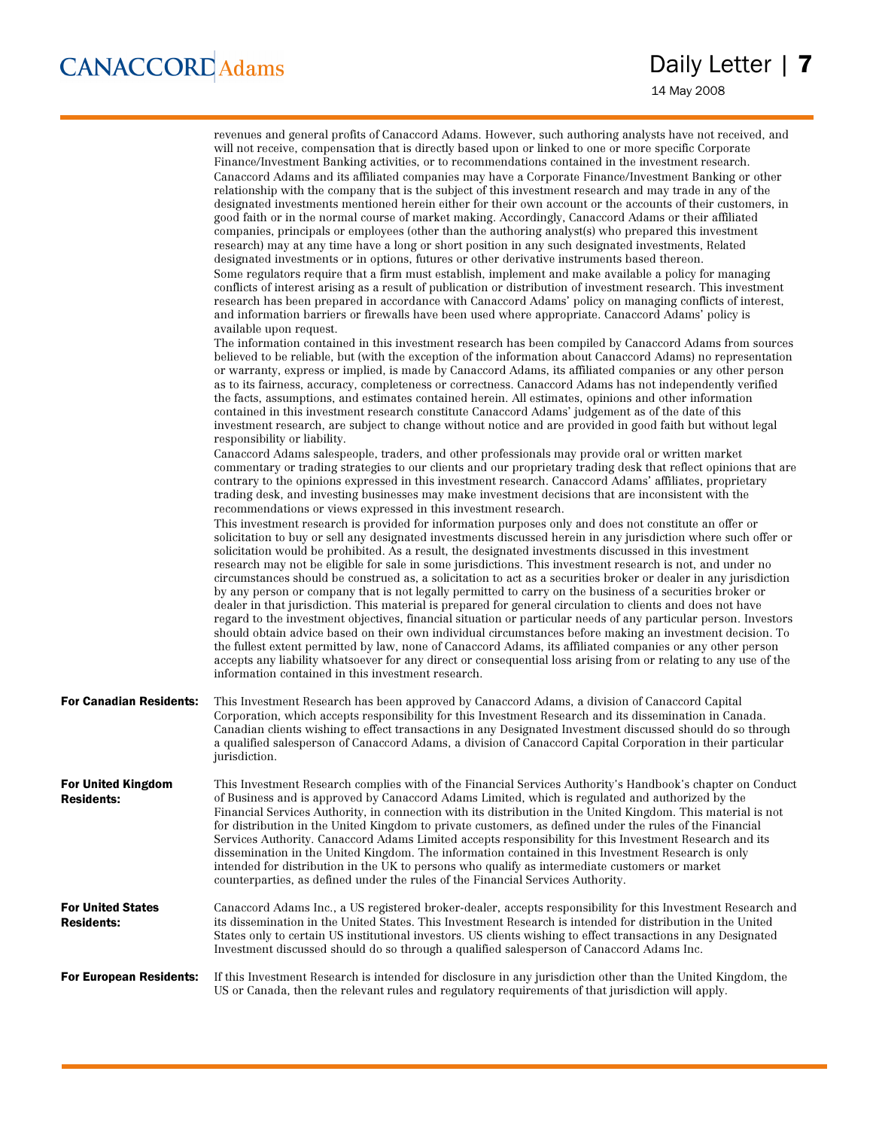|                                               | revenues and general profits of Canaccord Adams. However, such authoring analysts have not received, and<br>will not receive, compensation that is directly based upon or linked to one or more specific Corporate<br>Finance/Investment Banking activities, or to recommendations contained in the investment research.<br>Canaccord Adams and its affiliated companies may have a Corporate Finance/Investment Banking or other<br>relationship with the company that is the subject of this investment research and may trade in any of the<br>designated investments mentioned herein either for their own account or the accounts of their customers, in<br>good faith or in the normal course of market making. Accordingly, Canaccord Adams or their affiliated<br>companies, principals or employees (other than the authoring analyst(s) who prepared this investment<br>research) may at any time have a long or short position in any such designated investments, Related<br>designated investments or in options, futures or other derivative instruments based thereon.<br>Some regulators require that a firm must establish, implement and make available a policy for managing<br>conflicts of interest arising as a result of publication or distribution of investment research. This investment<br>research has been prepared in accordance with Canaccord Adams' policy on managing conflicts of interest,<br>and information barriers or firewalls have been used where appropriate. Canaccord Adams' policy is<br>available upon request.<br>The information contained in this investment research has been compiled by Canaccord Adams from sources<br>believed to be reliable, but (with the exception of the information about Canaccord Adams) no representation<br>or warranty, express or implied, is made by Canaccord Adams, its affiliated companies or any other person<br>as to its fairness, accuracy, completeness or correctness. Canaccord Adams has not independently verified<br>the facts, assumptions, and estimates contained herein. All estimates, opinions and other information<br>contained in this investment research constitute Canaccord Adams' judgement as of the date of this<br>investment research, are subject to change without notice and are provided in good faith but without legal<br>responsibility or liability.<br>Canaccord Adams salespeople, traders, and other professionals may provide oral or written market<br>commentary or trading strategies to our clients and our proprietary trading desk that reflect opinions that are<br>contrary to the opinions expressed in this investment research. Canaccord Adams' affiliates, proprietary<br>trading desk, and investing businesses may make investment decisions that are inconsistent with the<br>recommendations or views expressed in this investment research.<br>This investment research is provided for information purposes only and does not constitute an offer or<br>solicitation to buy or sell any designated investments discussed herein in any jurisdiction where such offer or<br>solicitation would be prohibited. As a result, the designated investments discussed in this investment<br>research may not be eligible for sale in some jurisdictions. This investment research is not, and under no<br>circumstances should be construed as, a solicitation to act as a securities broker or dealer in any jurisdiction<br>by any person or company that is not legally permitted to carry on the business of a securities broker or<br>dealer in that jurisdiction. This material is prepared for general circulation to clients and does not have<br>regard to the investment objectives, financial situation or particular needs of any particular person. Investors<br>should obtain advice based on their own individual circumstances before making an investment decision. To<br>the fullest extent permitted by law, none of Canaccord Adams, its affiliated companies or any other person<br>accepts any liability whatsoever for any direct or consequential loss arising from or relating to any use of the<br>information contained in this investment research. |
|-----------------------------------------------|-------------------------------------------------------------------------------------------------------------------------------------------------------------------------------------------------------------------------------------------------------------------------------------------------------------------------------------------------------------------------------------------------------------------------------------------------------------------------------------------------------------------------------------------------------------------------------------------------------------------------------------------------------------------------------------------------------------------------------------------------------------------------------------------------------------------------------------------------------------------------------------------------------------------------------------------------------------------------------------------------------------------------------------------------------------------------------------------------------------------------------------------------------------------------------------------------------------------------------------------------------------------------------------------------------------------------------------------------------------------------------------------------------------------------------------------------------------------------------------------------------------------------------------------------------------------------------------------------------------------------------------------------------------------------------------------------------------------------------------------------------------------------------------------------------------------------------------------------------------------------------------------------------------------------------------------------------------------------------------------------------------------------------------------------------------------------------------------------------------------------------------------------------------------------------------------------------------------------------------------------------------------------------------------------------------------------------------------------------------------------------------------------------------------------------------------------------------------------------------------------------------------------------------------------------------------------------------------------------------------------------------------------------------------------------------------------------------------------------------------------------------------------------------------------------------------------------------------------------------------------------------------------------------------------------------------------------------------------------------------------------------------------------------------------------------------------------------------------------------------------------------------------------------------------------------------------------------------------------------------------------------------------------------------------------------------------------------------------------------------------------------------------------------------------------------------------------------------------------------------------------------------------------------------------------------------------------------------------------------------------------------------------------------------------------------------------------------------------------------------------------------------------------------------------------------------------------------------------------------------------------------------------------------------------------------------------------------------------------------------------------------------------------------------------------------------------------------------------------------------------------------------------------------------------------------------------------------------------------|
| <b>For Canadian Residents:</b>                | This Investment Research has been approved by Canaccord Adams, a division of Canaccord Capital<br>Corporation, which accepts responsibility for this Investment Research and its dissemination in Canada.<br>Canadian clients wishing to effect transactions in any Designated Investment discussed should do so through<br>a qualified salesperson of Canaccord Adams, a division of Canaccord Capital Corporation in their particular<br>jurisdiction.                                                                                                                                                                                                                                                                                                                                                                                                                                                                                                                                                                                                                                                                                                                                                                                                                                                                                                                                                                                                                                                                                                                                                                                                                                                                                                                                                                                                                                                                                                                                                                                                                                                                                                                                                                                                                                                                                                                                                                                                                                                                                                                                                                                                                                                                                                                                                                                                                                                                                                                                                                                                                                                                                                                                                                                                                                                                                                                                                                                                                                                                                                                                                                                                                                                                                                                                                                                                                                                                                                                                                                                                                                                                                                                                                                      |
| For United Kingdom<br><b>Residents:</b>       | This Investment Research complies with of the Financial Services Authority's Handbook's chapter on Conduct<br>of Business and is approved by Canaccord Adams Limited, which is regulated and authorized by the<br>Financial Services Authority, in connection with its distribution in the United Kingdom. This material is not<br>for distribution in the United Kingdom to private customers, as defined under the rules of the Financial<br>Services Authority. Canaccord Adams Limited accepts responsibility for this Investment Research and its<br>dissemination in the United Kingdom. The information contained in this Investment Research is only<br>intended for distribution in the UK to persons who qualify as intermediate customers or market<br>counterparties, as defined under the rules of the Financial Services Authority.                                                                                                                                                                                                                                                                                                                                                                                                                                                                                                                                                                                                                                                                                                                                                                                                                                                                                                                                                                                                                                                                                                                                                                                                                                                                                                                                                                                                                                                                                                                                                                                                                                                                                                                                                                                                                                                                                                                                                                                                                                                                                                                                                                                                                                                                                                                                                                                                                                                                                                                                                                                                                                                                                                                                                                                                                                                                                                                                                                                                                                                                                                                                                                                                                                                                                                                                                                             |
| <b>For United States</b><br><b>Residents:</b> | Canaccord Adams Inc., a US registered broker-dealer, accepts responsibility for this Investment Research and<br>its dissemination in the United States. This Investment Research is intended for distribution in the United<br>States only to certain US institutional investors. US clients wishing to effect transactions in any Designated<br>Investment discussed should do so through a qualified salesperson of Canaccord Adams Inc.                                                                                                                                                                                                                                                                                                                                                                                                                                                                                                                                                                                                                                                                                                                                                                                                                                                                                                                                                                                                                                                                                                                                                                                                                                                                                                                                                                                                                                                                                                                                                                                                                                                                                                                                                                                                                                                                                                                                                                                                                                                                                                                                                                                                                                                                                                                                                                                                                                                                                                                                                                                                                                                                                                                                                                                                                                                                                                                                                                                                                                                                                                                                                                                                                                                                                                                                                                                                                                                                                                                                                                                                                                                                                                                                                                                    |
| <b>For European Residents:</b>                | If this Investment Research is intended for disclosure in any jurisdiction other than the United Kingdom, the<br>US or Canada, then the relevant rules and regulatory requirements of that jurisdiction will apply.                                                                                                                                                                                                                                                                                                                                                                                                                                                                                                                                                                                                                                                                                                                                                                                                                                                                                                                                                                                                                                                                                                                                                                                                                                                                                                                                                                                                                                                                                                                                                                                                                                                                                                                                                                                                                                                                                                                                                                                                                                                                                                                                                                                                                                                                                                                                                                                                                                                                                                                                                                                                                                                                                                                                                                                                                                                                                                                                                                                                                                                                                                                                                                                                                                                                                                                                                                                                                                                                                                                                                                                                                                                                                                                                                                                                                                                                                                                                                                                                           |